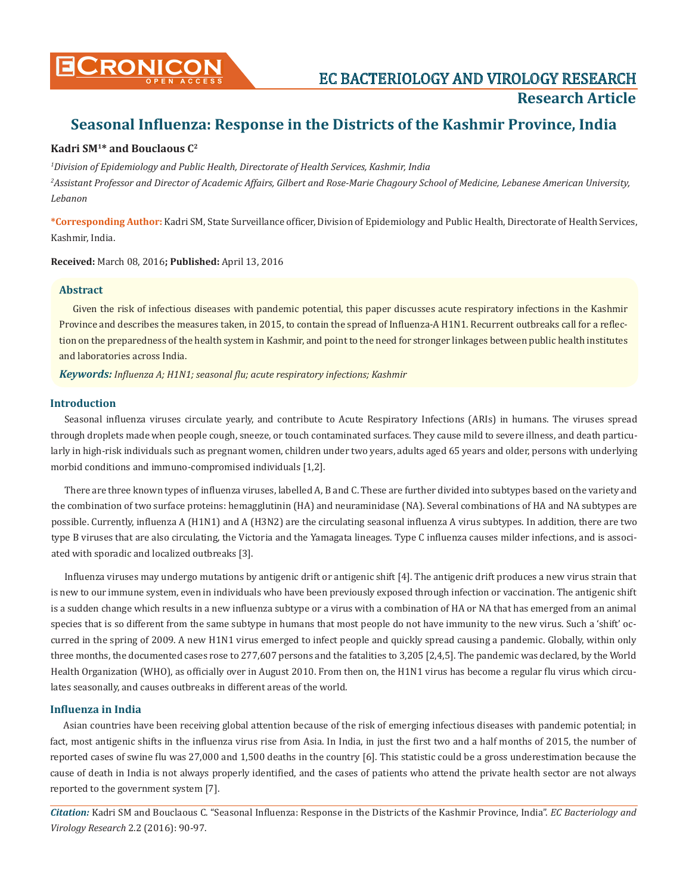# **Seasonal Influenza: Response in the Districts of the Kashmir Province, India**

# **Kadri SM<sup>1</sup>\* and Bouclaous C<sup>2</sup>**

*1 Division of Epidemiology and Public Health, Directorate of Health Services, Kashmir, India*

*2 Assistant Professor and Director of Academic Affairs, Gilbert and Rose-Marie Chagoury School of Medicine, Lebanese American University, Lebanon*

**\*Corresponding Author:** Kadri SM, State Surveillance officer, Division of Epidemiology and Public Health, Directorate of Health Services, Kashmir, India.

**Received:** March 08, 2016**; Published:** April 13, 2016

# **Abstract**

Given the risk of infectious diseases with pandemic potential, this paper discusses acute respiratory infections in the Kashmir Province and describes the measures taken, in 2015, to contain the spread of Influenza-A H1N1. Recurrent outbreaks call for a reflection on the preparedness of the health system in Kashmir, and point to the need for stronger linkages between public health institutes and laboratories across India.

*Keywords: Influenza A; H1N1; seasonal flu; acute respiratory infections; Kashmir*

# **Introduction**

Seasonal influenza viruses circulate yearly, and contribute to Acute Respiratory Infections (ARIs) in humans. The viruses spread through droplets made when people cough, sneeze, or touch contaminated surfaces. They cause mild to severe illness, and death particularly in high-risk individuals such as pregnant women, children under two years, adults aged 65 years and older, persons with underlying morbid conditions and immuno-compromised individuals [1,2].

There are three known types of influenza viruses, labelled A, B and C. These are further divided into subtypes based on the variety and the combination of two surface proteins: hemagglutinin (HA) and neuraminidase (NA). Several combinations of HA and NA subtypes are possible. Currently, influenza A (H1N1) and A (H3N2) are the circulating seasonal influenza A virus subtypes. In addition, there are two type B viruses that are also circulating, the Victoria and the Yamagata lineages. Type C influenza causes milder infections, and is associated with sporadic and localized outbreaks [3].

Influenza viruses may undergo mutations by antigenic drift or antigenic shift [4]. The antigenic drift produces a new virus strain that is new to our immune system, even in individuals who have been previously exposed through infection or vaccination. The antigenic shift is a sudden change which results in a new influenza subtype or a virus with a combination of HA or NA that has emerged from an animal species that is so different from the same subtype in humans that most people do not have immunity to the new virus. Such a 'shift' occurred in the spring of 2009. A new H1N1 virus emerged to infect people and quickly spread causing a pandemic. Globally, within only three months, the documented cases rose to 277,607 persons and the fatalities to 3,205 [2,4,5]. The pandemic was declared, by the World Health Organization (WHO), as officially over in August 2010. From then on, the H1N1 virus has become a regular flu virus which circulates seasonally, and causes outbreaks in different areas of the world.

# **Influenza in India**

Asian countries have been receiving global attention because of the risk of emerging infectious diseases with pandemic potential; in fact, most antigenic shifts in the influenza virus rise from Asia. In India, in just the first two and a half months of 2015, the number of reported cases of swine flu was 27,000 and 1,500 deaths in the country [6]. This statistic could be a gross underestimation because the cause of death in India is not always properly identified, and the cases of patients who attend the private health sector are not always reported to the government system [7].

*Citation:* Kadri SM and Bouclaous C. "Seasonal Influenza: Response in the Districts of the Kashmir Province, India". *EC Bacteriology and Virology Research* 2.2 (2016): 90-97.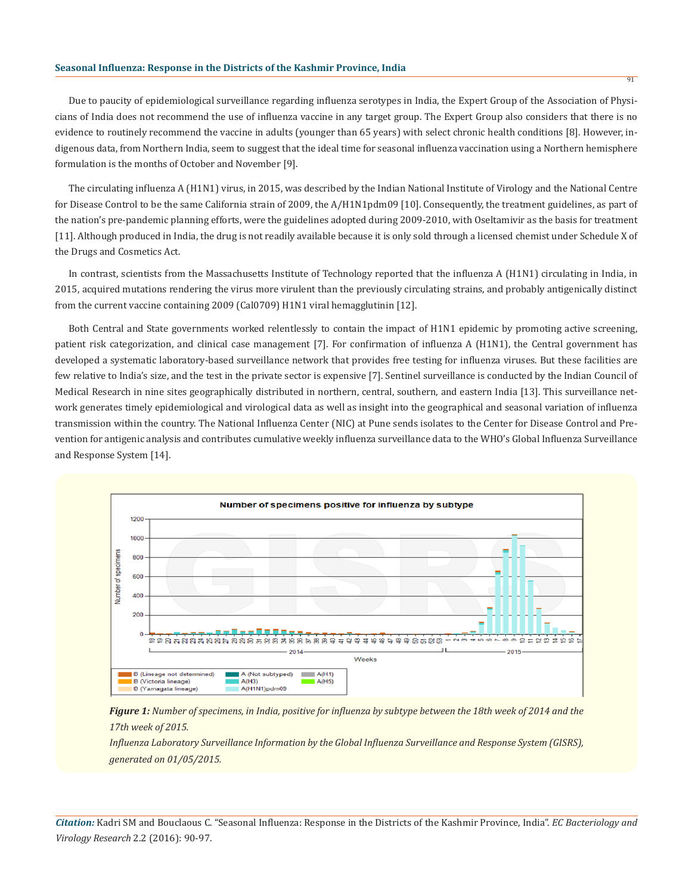#### **Seasonal Influenza: Response in the Districts of the Kashmir Province, India**

Due to paucity of epidemiological surveillance regarding influenza serotypes in India, the Expert Group of the Association of Physicians of India does not recommend the use of influenza vaccine in any target group. The Expert Group also considers that there is no evidence to routinely recommend the vaccine in adults (younger than 65 years) with select chronic health conditions [8]. However, indigenous data, from Northern India, seem to suggest that the ideal time for seasonal influenza vaccination using a Northern hemisphere formulation is the months of October and November [9].

The circulating influenza A (H1N1) virus, in 2015, was described by the Indian National Institute of Virology and the National Centre for Disease Control to be the same California strain of 2009, the A/H1N1pdm09 [10]. Consequently, the treatment guidelines, as part of the nation's pre-pandemic planning efforts, were the guidelines adopted during 2009-2010, with Oseltamivir as the basis for treatment [11]. Although produced in India, the drug is not readily available because it is only sold through a licensed chemist under Schedule X of the Drugs and Cosmetics Act.

In contrast, scientists from the Massachusetts Institute of Technology reported that the influenza A (H1N1) circulating in India, in 2015, acquired mutations rendering the virus more virulent than the previously circulating strains, and probably antigenically distinct from the current vaccine containing 2009 (Cal0709) H1N1 viral hemagglutinin [12].

Both Central and State governments worked relentlessly to contain the impact of H1N1 epidemic by promoting active screening, patient risk categorization, and clinical case management [7]. For confirmation of influenza A (H1N1), the Central government has developed a systematic laboratory-based surveillance network that provides free testing for influenza viruses. But these facilities are few relative to India's size, and the test in the private sector is expensive [7]. Sentinel surveillance is conducted by the Indian Council of Medical Research in nine sites geographically distributed in northern, central, southern, and eastern India [13]. This surveillance network generates timely epidemiological and virological data as well as insight into the geographical and seasonal variation of influenza transmission within the country. The National Influenza Center (NIC) at Pune sends isolates to the Center for Disease Control and Prevention for antigenic analysis and contributes cumulative weekly influenza surveillance data to the WHO's Global Influenza Surveillance and Response System [14].



*Figure 1: Number of specimens, in India, positive for influenza by subtype between the 18th week of 2014 and the 17th week of 2015.*

*Influenza Laboratory Surveillance Information by the Global Influenza Surveillance and Response System (GISRS), generated on 01/05/2015.*

*Citation:* Kadri SM and Bouclaous C. "Seasonal Influenza: Response in the Districts of the Kashmir Province, India". *EC Bacteriology and Virology Research* 2.2 (2016): 90-97.

**91**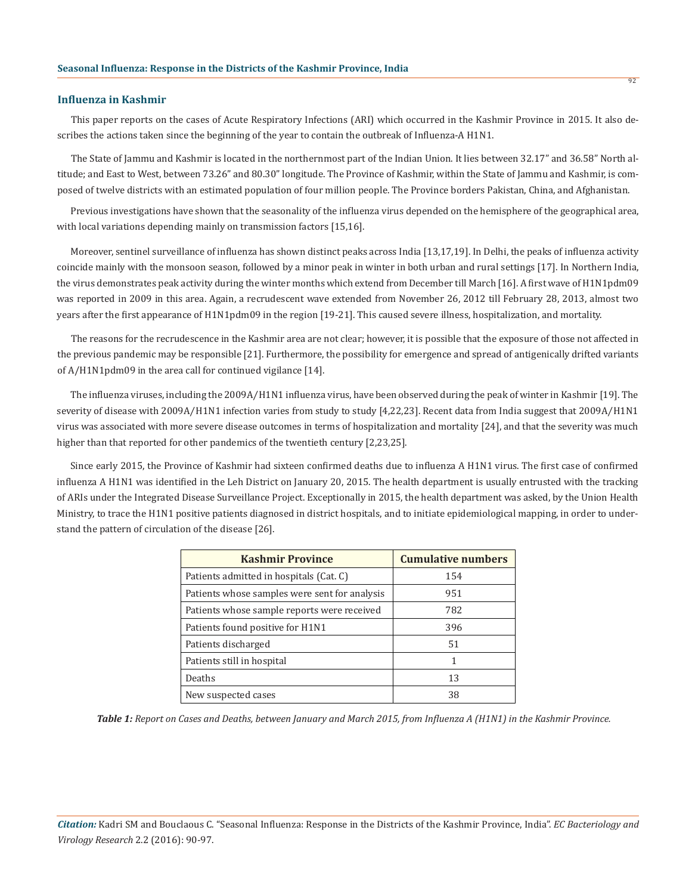### **Influenza in Kashmir**

This paper reports on the cases of Acute Respiratory Infections (ARI) which occurred in the Kashmir Province in 2015. It also describes the actions taken since the beginning of the year to contain the outbreak of Influenza-A H1N1.

92

The State of Jammu and Kashmir is located in the northernmost part of the Indian Union. It lies between 32.17" and 36.58" North altitude; and East to West, between 73.26" and 80.30" longitude. The Province of Kashmir, within the State of Jammu and Kashmir, is composed of twelve districts with an estimated population of four million people. The Province borders Pakistan, China, and Afghanistan.

Previous investigations have shown that the seasonality of the influenza virus depended on the hemisphere of the geographical area, with local variations depending mainly on transmission factors [15,16].

Moreover, sentinel surveillance of influenza has shown distinct peaks across India [13,17,19]. In Delhi, the peaks of influenza activity coincide mainly with the monsoon season, followed by a minor peak in winter in both urban and rural settings [17]. In Northern India, the virus demonstrates peak activity during the winter months which extend from December till March [16]. A first wave of H1N1pdm09 was reported in 2009 in this area. Again, a recrudescent wave extended from November 26, 2012 till February 28, 2013, almost two years after the first appearance of H1N1pdm09 in the region [19-21]. This caused severe illness, hospitalization, and mortality.

The reasons for the recrudescence in the Kashmir area are not clear; however, it is possible that the exposure of those not affected in the previous pandemic may be responsible [21]. Furthermore, the possibility for emergence and spread of antigenically drifted variants of A/H1N1pdm09 in the area call for continued vigilance [14].

The influenza viruses, including the 2009A⁄H1N1 influenza virus, have been observed during the peak of winter in Kashmir [19]. The severity of disease with 2009A⁄H1N1 infection varies from study to study [4,22,23]. Recent data from India suggest that 2009A⁄H1N1 virus was associated with more severe disease outcomes in terms of hospitalization and mortality [24], and that the severity was much higher than that reported for other pandemics of the twentieth century [2,23,25].

Since early 2015, the Province of Kashmir had sixteen confirmed deaths due to influenza A H1N1 virus. The first case of confirmed influenza A H1N1 was identified in the Leh District on January 20, 2015. The health department is usually entrusted with the tracking of ARIs under the Integrated Disease Surveillance Project. Exceptionally in 2015, the health department was asked, by the Union Health Ministry, to trace the H1N1 positive patients diagnosed in district hospitals, and to initiate epidemiological mapping, in order to understand the pattern of circulation of the disease [26].

| <b>Kashmir Province</b>                       | <b>Cumulative numbers</b> |
|-----------------------------------------------|---------------------------|
| Patients admitted in hospitals (Cat. C)       | 154                       |
| Patients whose samples were sent for analysis | 951                       |
| Patients whose sample reports were received   | 782                       |
| Patients found positive for H1N1              | 396                       |
| Patients discharged                           | 51                        |
| Patients still in hospital                    |                           |
| Deaths                                        | 13                        |
| New suspected cases                           | 38                        |

*Table 1: Report on Cases and Deaths, between January and March 2015, from Influenza A (H1N1) in the Kashmir Province.*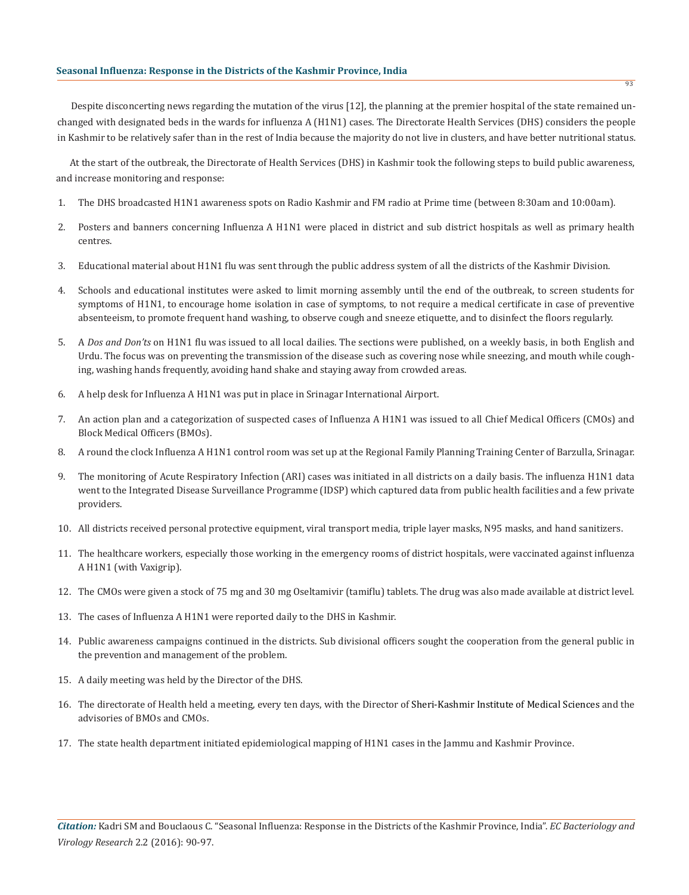#### **Seasonal Influenza: Response in the Districts of the Kashmir Province, India**

Despite disconcerting news regarding the mutation of the virus [12], the planning at the premier hospital of the state remained unchanged with designated beds in the wards for influenza A (H1N1) cases. The Directorate Health Services (DHS) considers the people in Kashmir to be relatively safer than in the rest of India because the majority do not live in clusters, and have better nutritional status.

At the start of the outbreak, the Directorate of Health Services (DHS) in Kashmir took the following steps to build public awareness, and increase monitoring and response:

- 1. The DHS broadcasted H1N1 awareness spots on Radio Kashmir and FM radio at Prime time (between 8:30am and 10:00am).
- 2. Posters and banners concerning Influenza A H1N1 were placed in district and sub district hospitals as well as primary health centres.
- 3. Educational material about H1N1 flu was sent through the public address system of all the districts of the Kashmir Division.
- 4. Schools and educational institutes were asked to limit morning assembly until the end of the outbreak, to screen students for symptoms of H1N1, to encourage home isolation in case of symptoms, to not require a medical certificate in case of preventive absenteeism, to promote frequent hand washing, to observe cough and sneeze etiquette, and to disinfect the floors regularly.
- 5. A *Dos and Don'ts* on H1N1 flu was issued to all local dailies. The sections were published, on a weekly basis, in both English and Urdu. The focus was on preventing the transmission of the disease such as covering nose while sneezing, and mouth while coughing, washing hands frequently, avoiding hand shake and staying away from crowded areas.
- 6. A help desk for Influenza A H1N1 was put in place in Srinagar International Airport.
- 7. An action plan and a categorization of suspected cases of Influenza A H1N1 was issued to all Chief Medical Officers (CMOs) and Block Medical Officers (BMOs).
- 8. A round the clock Influenza A H1N1 control room was set up at the Regional Family Planning Training Center of Barzulla, Srinagar.
- 9. The monitoring of Acute Respiratory Infection (ARI) cases was initiated in all districts on a daily basis. The influenza H1N1 data went to the Integrated Disease Surveillance Programme (IDSP) which captured data from public health facilities and a few private providers.
- 10. All districts received personal protective equipment, viral transport media, triple layer masks, N95 masks, and hand sanitizers.
- 11. The healthcare workers, especially those working in the emergency rooms of district hospitals, were vaccinated against influenza A H1N1 (with Vaxigrip).
- 12. The CMOs were given a stock of 75 mg and 30 mg Oseltamivir (tamiflu) tablets. The drug was also made available at district level.
- 13. The cases of Influenza A H1N1 were reported daily to the DHS in Kashmir.
- 14. Public awareness campaigns continued in the districts. Sub divisional officers sought the cooperation from the general public in the prevention and management of the problem.
- 15. A daily meeting was held by the Director of the DHS.
- 16. The directorate of Health held a meeting, every ten days, with the Director of Sheri-Kashmir Institute of Medical Sciences and the advisories of BMOs and CMOs.
- 17. The state health department initiated epidemiological mapping of H1N1 cases in the Jammu and Kashmir Province.

93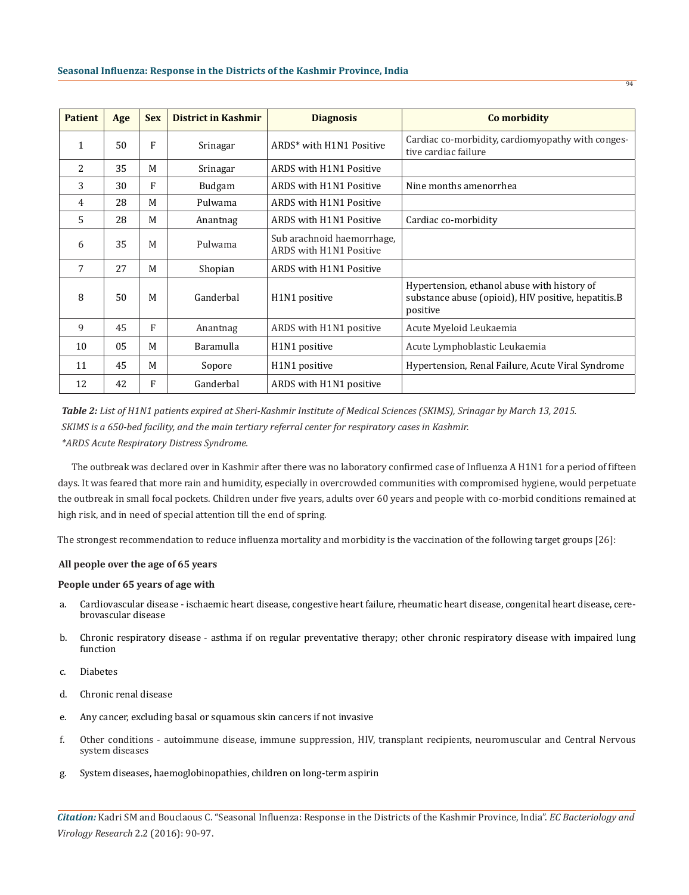| <b>Patient</b> | Age | <b>Sex</b>   | District in Kashmir | <b>Diagnosis</b>                                      | Co morbidity                                                                                                   |
|----------------|-----|--------------|---------------------|-------------------------------------------------------|----------------------------------------------------------------------------------------------------------------|
| 1              | 50  | $\mathbf{F}$ | Srinagar            | ARDS* with H1N1 Positive                              | Cardiac co-morbidity, cardiomyopathy with conges-<br>tive cardiac failure                                      |
| 2              | 35  | M            | Srinagar            | ARDS with H1N1 Positive                               |                                                                                                                |
| 3              | 30  | F            | <b>Budgam</b>       | ARDS with H1N1 Positive                               | Nine months amenorrhea                                                                                         |
| 4              | 28  | M            | Pulwama             | ARDS with H1N1 Positive                               |                                                                                                                |
| 5              | 28  | M            | Anantnag            | ARDS with H1N1 Positive                               | Cardiac co-morbidity                                                                                           |
| 6              | 35  | M            | Pulwama             | Sub arachnoid haemorrhage,<br>ARDS with H1N1 Positive |                                                                                                                |
| 7              | 27  | M            | Shopian             | ARDS with H1N1 Positive                               |                                                                                                                |
| 8              | 50  | M            | Ganderbal           | H <sub>1</sub> N <sub>1</sub> positive                | Hypertension, ethanol abuse with history of<br>substance abuse (opioid), HIV positive, hepatitis.B<br>positive |
| 9              | 45  | F            | Anantnag            | ARDS with H1N1 positive                               | Acute Myeloid Leukaemia                                                                                        |
| 10             | 05  | M            | Baramulla           | H <sub>1</sub> N <sub>1</sub> positive                | Acute Lymphoblastic Leukaemia                                                                                  |
| 11             | 45  | M            | Sopore              | H <sub>1</sub> N <sub>1</sub> positive                | Hypertension, Renal Failure, Acute Viral Syndrome                                                              |
| 12             | 42  | F            | Ganderbal           | ARDS with H1N1 positive                               |                                                                                                                |

*Table 2: List of H1N1 patients expired at Sheri-Kashmir Institute of Medical Sciences (SKIMS), Srinagar by March 13, 2015. SKIMS is a 650-bed facility, and the main tertiary referral center for respiratory cases in Kashmir. \*ARDS Acute Respiratory Distress Syndrome.*

The outbreak was declared over in Kashmir after there was no laboratory confirmed case of Influenza A H1N1 for a period of fifteen days. It was feared that more rain and humidity, especially in overcrowded communities with compromised hygiene, would perpetuate the outbreak in small focal pockets. Children under five years, adults over 60 years and people with co-morbid conditions remained at high risk, and in need of special attention till the end of spring.

The strongest recommendation to reduce influenza mortality and morbidity is the vaccination of the following target groups [26]:

### **All people over the age of 65 years**

### **People under 65 years of age with**

- a. Cardiovascular disease ischaemic heart disease, congestive heart failure, rheumatic heart disease, congenital heart disease, cerebrovascular disease
- b. Chronic respiratory disease asthma if on regular preventative therapy; other chronic respiratory disease with impaired lung function
- c. Diabetes
- d. Chronic renal disease
- e. Any cancer, excluding basal or squamous skin cancers if not invasive
- f. Other conditions autoimmune disease, immune suppression, HIV, transplant recipients, neuromuscular and Central Nervous system diseases
- g. System diseases, haemoglobinopathies, children on long-term aspirin

*Citation:* Kadri SM and Bouclaous C. "Seasonal Influenza: Response in the Districts of the Kashmir Province, India". *EC Bacteriology and Virology Research* 2.2 (2016): 90-97.

94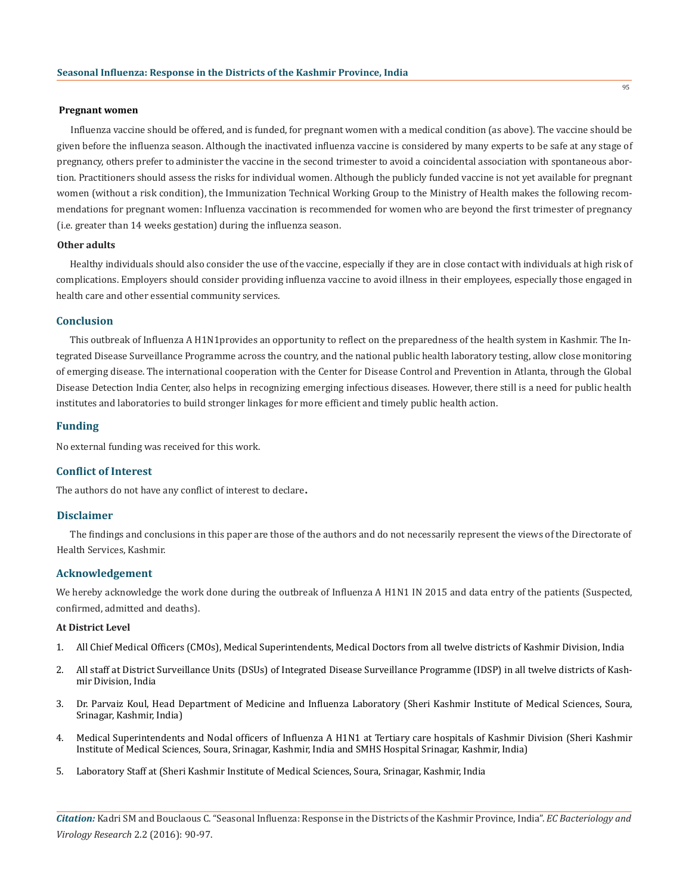#### **Pregnant women**

Influenza vaccine should be offered, and is funded, for pregnant women with a medical condition (as above). The vaccine should be given before the influenza season. Although the inactivated influenza vaccine is considered by many experts to be safe at any stage of pregnancy, others prefer to administer the vaccine in the second trimester to avoid a coincidental association with spontaneous abortion. Practitioners should assess the risks for individual women. Although the publicly funded vaccine is not yet available for pregnant women (without a risk condition), the Immunization Technical Working Group to the Ministry of Health makes the following recommendations for pregnant women: Influenza vaccination is recommended for women who are beyond the first trimester of pregnancy (i.e. greater than 14 weeks gestation) during the influenza season.

# **Other adults**

Healthy individuals should also consider the use of the vaccine, especially if they are in close contact with individuals at high risk of complications. Employers should consider providing influenza vaccine to avoid illness in their employees, especially those engaged in health care and other essential community services.

# **Conclusion**

This outbreak of Influenza A H1N1provides an opportunity to reflect on the preparedness of the health system in Kashmir. The Integrated Disease Surveillance Programme across the country, and the national public health laboratory testing, allow close monitoring of emerging disease. The international cooperation with the Center for Disease Control and Prevention in Atlanta, through the Global Disease Detection India Center, also helps in recognizing emerging infectious diseases. However, there still is a need for public health institutes and laboratories to build stronger linkages for more efficient and timely public health action.

#### **Funding**

No external funding was received for this work.

# **Conflict of Interest**

The authors do not have any conflict of interest to declare.

### **Disclaimer**

The findings and conclusions in this paper are those of the authors and do not necessarily represent the views of the Directorate of Health Services, Kashmir.

#### **Acknowledgement**

We hereby acknowledge the work done during the outbreak of Influenza A H1N1 IN 2015 and data entry of the patients (Suspected, confirmed, admitted and deaths).

### **At District Level**

- 1. All Chief Medical Officers (CMOs), Medical Superintendents, Medical Doctors from all twelve districts of Kashmir Division, India
- 2. All staff at District Surveillance Units (DSUs) of Integrated Disease Surveillance Programme (IDSP) in all twelve districts of Kashmir Division, India
- 3. Dr. Parvaiz Koul, Head Department of Medicine and Influenza Laboratory (Sheri Kashmir Institute of Medical Sciences, Soura, Srinagar, Kashmir, India)
- 4. Medical Superintendents and Nodal officers of Influenza A H1N1 at Tertiary care hospitals of Kashmir Division (Sheri Kashmir Institute of Medical Sciences, Soura, Srinagar, Kashmir, India and SMHS Hospital Srinagar, Kashmir, India)
- 5. Laboratory Staff at (Sheri Kashmir Institute of Medical Sciences, Soura, Srinagar, Kashmir, India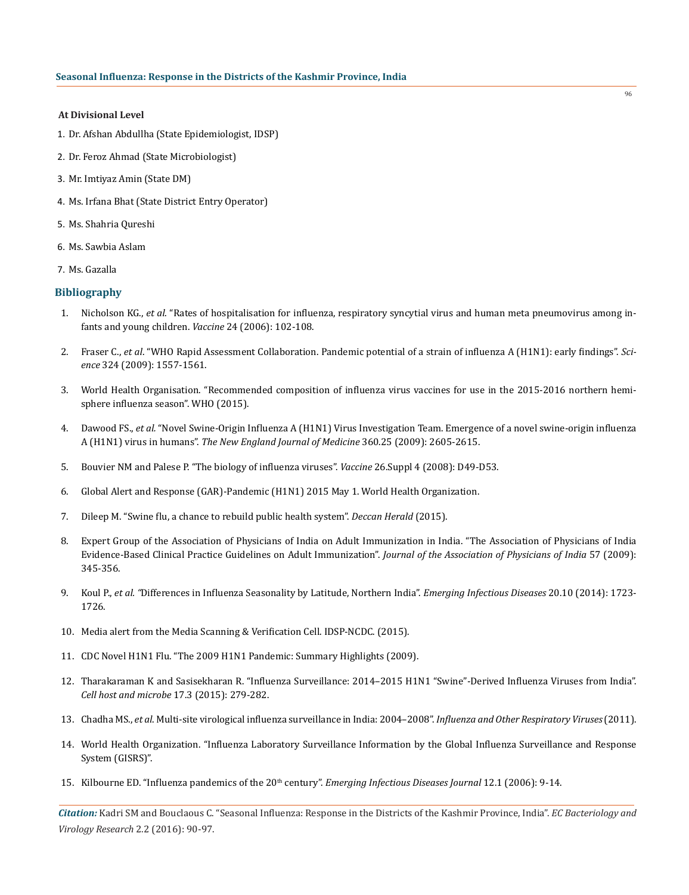### **At Divisional Level**

- 1. Dr. Afshan Abdullha (State Epidemiologist, IDSP)
- 2. Dr. Feroz Ahmad (State Microbiologist)
- 3. Mr. Imtiyaz Amin (State DM)
- 4. Ms. Irfana Bhat (State District Entry Operator)
- 5. Ms. Shahria Qureshi
- 6. Ms. Sawbia Aslam
- 7. Ms. Gazalla

# **Bibliography**

- 1. Nicholson KG., *et al*. "Rates of hospitalisation for influenza, respiratory syncytial virus and human meta pneumovirus among infants and young children. *Vaccine* 24 (2006): 102-108.
- 2. Fraser C., *et al*. "WHO Rapid Assessment Collaboration. Pandemic potential of a strain of influenza A (H1N1): early findings". *Science* 324 (2009): 1557-1561.
- 3. World Health Organisation. "Recommended composition of influenza virus vaccines for use in the 2015-2016 northern hemisphere influenza season". WHO (2015).
- 4. Dawood FS., *et al.* "Novel Swine-Origin Influenza A (H1N1) Virus Investigation Team. Emergence of a novel swine-origin influenza A (H1N1) virus in humans". *The New England Journal of Medicine* 360.25 (2009): 2605-2615.
- 5. Bouvier NM and Palese P. "The biology of influenza viruses". *Vaccine* 26.Suppl 4 (2008): D49-D53.
- 6. Global Alert and Response (GAR)-Pandemic (H1N1) 2015 May 1. World Health Organization.
- 7. Dileep M. "Swine flu, a chance to rebuild public health system". *Deccan Herald* (2015).
- 8. Expert Group of the Association of Physicians of India on Adult Immunization in India. "The Association of Physicians of India Evidence-Based Clinical Practice Guidelines on Adult Immunization". *Journal of the Association of Physicians of India* 57 (2009): 345-356.
- 9. Koul P., *et al. "*Differences in Influenza Seasonality by Latitude, Northern India". *Emerging Infectious Diseases* 20.10 (2014): 1723- 1726.
- 10. Media alert from the Media Scanning & Verification Cell. IDSP-NCDC. (2015).
- 11. CDC Novel H1N1 Flu. "The 2009 H1N1 Pandemic: Summary Highlights (2009).
- 12. Tharakaraman K and Sasisekharan R. "Influenza Surveillance: 2014–2015 H1N1 "Swine"-Derived Influenza Viruses from India". *Cell host and microbe* 17.3 (2015): 279-282.
- 13. Chadha MS., *et al*. Multi-site virological influenza surveillance in India: 2004–2008". *Influenza and Other Respiratory Viruses* (2011).
- 14. World Health Organization. "Influenza Laboratory Surveillance Information by the Global Influenza Surveillance and Response System (GISRS)".
- 15. Kilbourne ED. "Influenza pandemics of the 20th century". *Emerging Infectious Diseases Journal* 12.1 (2006): 9-14.

*Citation:* Kadri SM and Bouclaous C. "Seasonal Influenza: Response in the Districts of the Kashmir Province, India". *EC Bacteriology and Virology Research* 2.2 (2016): 90-97.